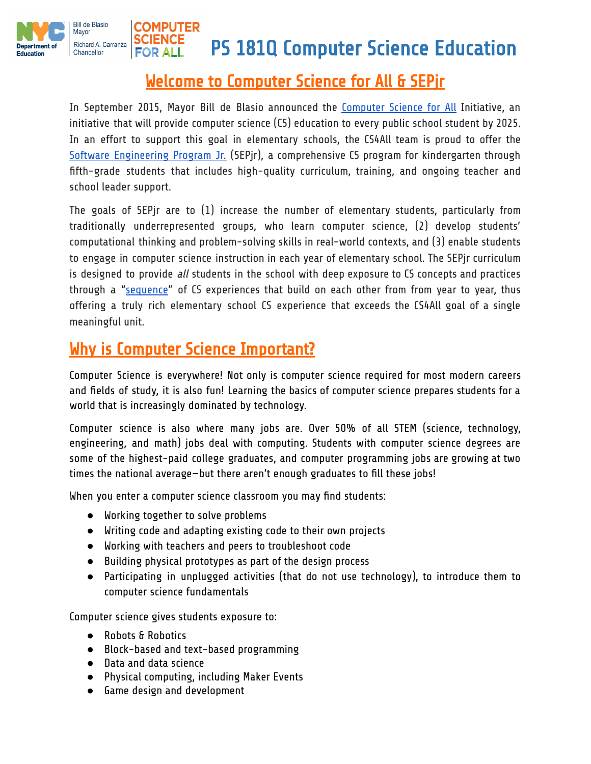

### Welcome to Computer Science for All & SEPjr

In September 2015, Mayor Bill de Blasio announced the [Computer](http://www1.nyc.gov/office-of-the-mayor/education-vision-2015-computer-science.page) Science for All Initiative, an initiative that will provide computer science (CS) education to every public school student by 2025. In an effort to support this goal in elementary schools, the CS4All team is proud to offer the Software [Engineering](http://tinyurl.com/SEPjrNYC) Program Jr. (SEPjr), a comprehensive CS program for kindergarten through fifth-grade students that includes high-quality curriculum, training, and ongoing teacher and school leader support.

The goals of SEPjr are to (1) increase the number of elementary students, particularly from traditionally underrepresented groups, who learn computer science, (2) develop students' computational thinking and problem-solving skills in real-world contexts, and (3) enable students to engage in computer science instruction in each year of elementary school. The SEPjr curriculum is designed to provide all students in the school with deep exposure to CS concepts and practices through a ["sequence](http://cs4all.nyc/academic-programs/software-engineering-program-jr/)" of CS experiences that build on each other from from year to year, thus offering a truly rich elementary school CS experience that exceeds the CS4All goal of a single meaningful unit.

## Why is Computer Science Important?

Computer Science is everywhere! Not only is computer science required for most modern careers and fields of study, it is also fun! Learning the basics of computer science prepares students for a world that is increasingly dominated by technology.

Computer science is also where many jobs are. Over 50% of all STEM (science, technology, engineering, and math) jobs deal with computing. Students with computer science degrees are some of the highest-paid college graduates, and computer programming jobs are growing at two times the national average—but there aren't enough graduates to fill these jobs!

When you enter a computer science classroom you may find students:

- Working together to solve problems
- Writing code and adapting existing code to their own projects
- Working with teachers and peers to troubleshoot code
- Building physical prototypes as part of the design process
- Participating in unplugged activities (that do not use technology), to introduce them to computer science fundamentals

Computer science gives students exposure to:

- Robots & Robotics
- Block-based and text-based programming
- Data and data science
- Physical computing, including Maker Events
- Game design and development